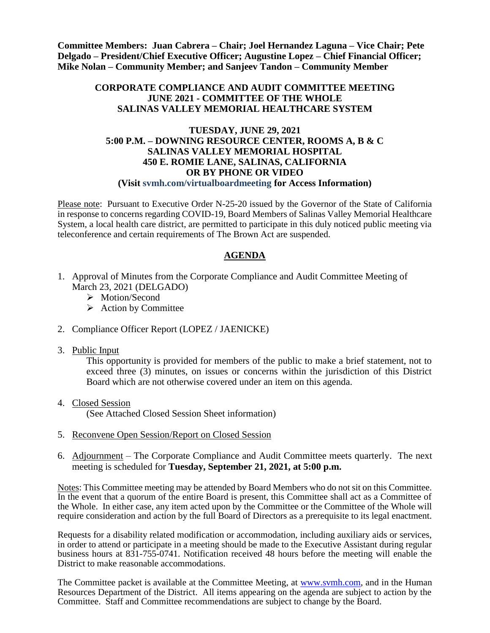**Committee Members: Juan Cabrera – Chair; Joel Hernandez Laguna – Vice Chair; Pete Delgado – President/Chief Executive Officer; Augustine Lopez – Chief Financial Officer; Mike Nolan – Community Member; and Sanjeev Tandon – Community Member**

## **CORPORATE COMPLIANCE AND AUDIT COMMITTEE MEETING JUNE 2021 - COMMITTEE OF THE WHOLE SALINAS VALLEY MEMORIAL HEALTHCARE SYSTEM**

#### **TUESDAY, JUNE 29, 2021 5:00 P.M. – DOWNING RESOURCE CENTER, ROOMS A, B & C SALINAS VALLEY MEMORIAL HOSPITAL 450 E. ROMIE LANE, SALINAS, CALIFORNIA OR BY PHONE OR VIDEO (Visit svmh.com/virtualboardmeeting for Access Information)**

Please note: Pursuant to Executive Order N-25-20 issued by the Governor of the State of California in response to concerns regarding COVID-19, Board Members of Salinas Valley Memorial Healthcare System, a local health care district, are permitted to participate in this duly noticed public meeting via teleconference and certain requirements of The Brown Act are suspended.

# **AGENDA**

- 1. Approval of Minutes from the Corporate Compliance and Audit Committee Meeting of March 23, 2021 (DELGADO)
	- > Motion/Second
	- $\triangleright$  Action by Committee
- 2. Compliance Officer Report (LOPEZ / JAENICKE)
- 3. Public Input

This opportunity is provided for members of the public to make a brief statement, not to exceed three (3) minutes, on issues or concerns within the jurisdiction of this District Board which are not otherwise covered under an item on this agenda.

4. Closed Session

(See Attached Closed Session Sheet information)

- 5. Reconvene Open Session/Report on Closed Session
- 6. Adjournment The Corporate Compliance and Audit Committee meets quarterly. The next meeting is scheduled for **Tuesday, September 21, 2021, at 5:00 p.m.**

Notes: This Committee meeting may be attended by Board Members who do not sit on this Committee. In the event that a quorum of the entire Board is present, this Committee shall act as a Committee of the Whole. In either case, any item acted upon by the Committee or the Committee of the Whole will require consideration and action by the full Board of Directors as a prerequisite to its legal enactment.

Requests for a disability related modification or accommodation, including auxiliary aids or services, in order to attend or participate in a meeting should be made to the Executive Assistant during regular business hours at 831-755-0741. Notification received 48 hours before the meeting will enable the District to make reasonable accommodations.

The Committee packet is available at the Committee Meeting, at [www.svmh.com,](http://www.svmh.com/) and in the Human Resources Department of the District. All items appearing on the agenda are subject to action by the Committee. Staff and Committee recommendations are subject to change by the Board.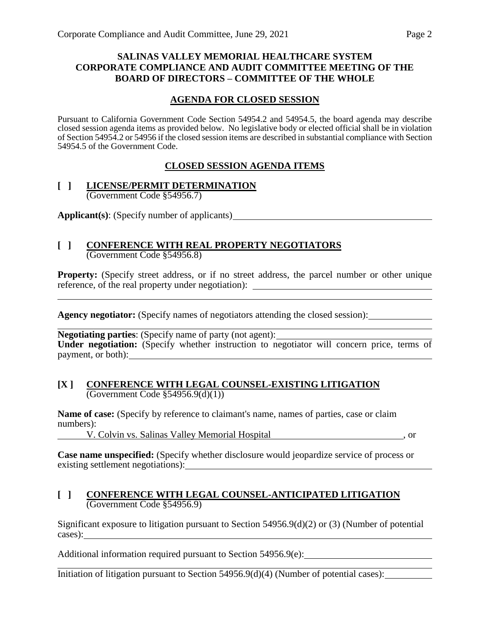# **SALINAS VALLEY MEMORIAL HEALTHCARE SYSTEM CORPORATE COMPLIANCE AND AUDIT COMMITTEE MEETING OF THE BOARD OF DIRECTORS – COMMITTEE OF THE WHOLE**

# **AGENDA FOR CLOSED SESSION**

Pursuant to California Government Code Section 54954.2 and 54954.5, the board agenda may describe closed session agenda items as provided below. No legislative body or elected official shall be in violation of Section 54954.2 or 54956 if the closed session items are described in substantial compliance with Section 54954.5 of the Government Code.

# **CLOSED SESSION AGENDA ITEMS**

#### **[ ] LICENSE/PERMIT DETERMINATION** (Government Code §54956.7)

**Applicant(s)**: (Specify number of applicants)

#### **[ ] CONFERENCE WITH REAL PROPERTY NEGOTIATORS** (Government Code §54956.8)

**Property:** (Specify street address, or if no street address, the parcel number or other unique reference, of the real property under negotiation):

**Agency negotiator:** (Specify names of negotiators attending the closed session):

**Negotiating parties:** (Specify name of party (not agent): <u>Negotiating</u> parties: (Specify name of party (not agent): **Under negotiation:** (Specify whether instruction to negotiator will concern price, terms of payment, or both):

#### **[X ] CONFERENCE WITH LEGAL COUNSEL-EXISTING LITIGATION**  $\overline{(Government Code \S 54956.9(d)(1))}$

**Name of case:** (Specify by reference to claimant's name, names of parties, case or claim numbers):

V. Colvin vs. Salinas Valley Memorial Hospital , or

**Case name unspecified:** (Specify whether disclosure would jeopardize service of process or existing settlement negotiations):

## **[ ] CONFERENCE WITH LEGAL COUNSEL-ANTICIPATED LITIGATION** (Government Code §54956.9)

Significant exposure to litigation pursuant to Section 54956.9(d)(2) or (3) (Number of potential cases):

Additional information required pursuant to Section 54956.9(e):

Initiation of litigation pursuant to Section 54956.9(d)(4) (Number of potential cases):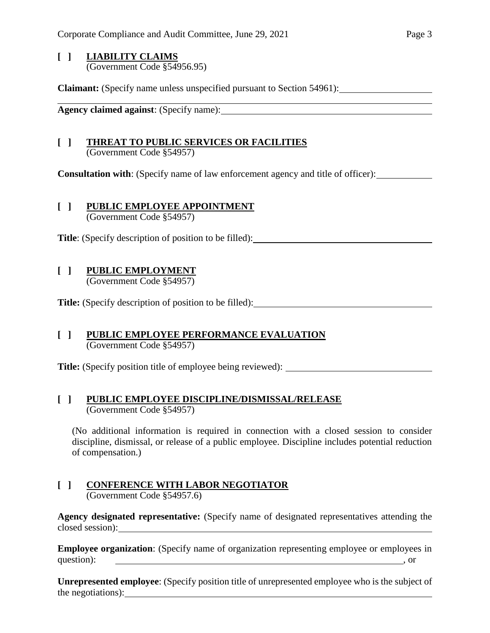## **[ ] LIABILITY CLAIMS** (Government Code §54956.95)

**Claimant:** (Specify name unless unspecified pursuant to Section 54961):

**Agency claimed against**: (Specify name):

## **[ ] THREAT TO PUBLIC SERVICES OR FACILITIES** (Government Code §54957)

**Consultation with**: (Specify name of law enforcement agency and title of officer):

# **[ ] PUBLIC EMPLOYEE APPOINTMENT**

(Government Code §54957)

**Title**: (Specify description of position to be filled):

# **[ ] PUBLIC EMPLOYMENT** (Government Code §54957)

**Title:** (Specify description of position to be filled):

#### **[ ] PUBLIC EMPLOYEE PERFORMANCE EVALUATION** (Government Code §54957)

**Title:** (Specify position title of employee being reviewed):

# **[ ] PUBLIC EMPLOYEE DISCIPLINE/DISMISSAL/RELEASE**

(Government Code §54957)

(No additional information is required in connection with a closed session to consider discipline, dismissal, or release of a public employee. Discipline includes potential reduction of compensation.)

#### **[ ] CONFERENCE WITH LABOR NEGOTIATOR** (Government Code §54957.6)

**Agency designated representative:** (Specify name of designated representatives attending the closed session):

**Employee organization**: (Specify name of organization representing employee or employees in question):  $\qquad \qquad$  , or

**Unrepresented employee**: (Specify position title of unrepresented employee who is the subject of the negotiations):